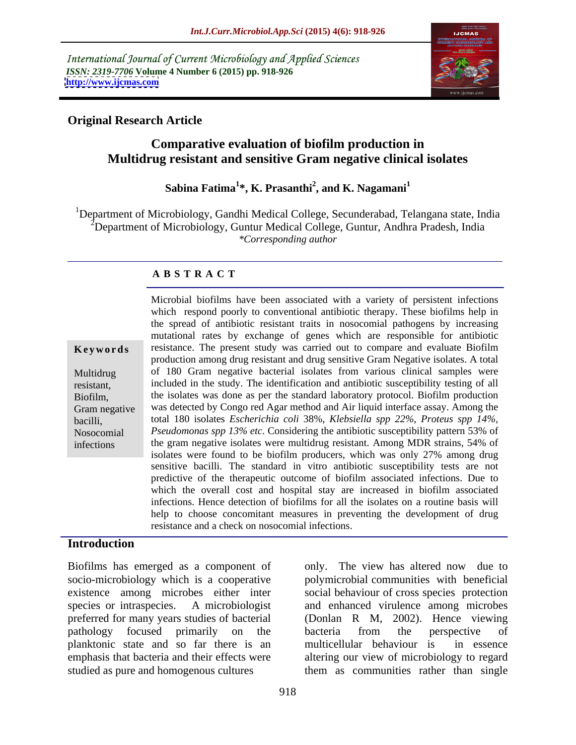International Journal of Current Microbiology and Applied Sciences *ISSN: 2319-7706* **Volume 4 Number 6 (2015) pp. 918-926 <http://www.ijcmas.com>**



# **Original Research Article**

# **Comparative evaluation of biofilm production in Multidrug resistant and sensitive Gram negative clinical isolates**

#### **Sabina Fatima<sup>1</sup> \*, K. Prasanthi<sup>2</sup> , and K. Nagamani<sup>1</sup>**

<sup>1</sup>Department of Microbiology, Gandhi Medical College, Secunderabad, Telangana state, India <sup>2</sup>Department of Microbiology, Guntur Medical College, Guntur, Andhra Pradesh, India *\*Corresponding author*

## **A B S T R A C T**

infections

Microbial biofilms have been associated with a variety of persistent infections which respond poorly to conventional antibiotic therapy. These biofilms help in the spread of antibiotic resistant traits in nosocomial pathogens by increasing mutational rates by exchange of genes which are responsible for antibiotic **Keywords** resistance. The present study was carried out to compare and evaluate Biofilm production among drug resistant and drug sensitive Gram Negative isolates. A total of 180 Gram negative bacterial isolates from various clinical samples were Multidrug resistant, included in the study. The identification and antibiotic susceptibility testing of all the isolates was done as per the standard laboratory protocol. Biofilm production Biofilm, was detected by Congo red Agar method and Air liquid interface assay. Among the Gram negative total 180 isolates *Escherichia coli* 38%, *Klebsiella spp 22%, Proteus spp 14%,* bacilli, *Pseudomonas spp 13% etc*. Considering the antibiotic susceptibility pattern 53% of Nosocomial the gram negative isolates were multidrug resistant. Among MDR strains, 54% of isolates were found to be biofilm producers, which was only 27% among drug sensitive bacilli. The standard in vitro antibiotic susceptibility tests are not predictive of the therapeutic outcome of biofilm associated infections. Due to which the overall cost and hospital stay are increased in biofilm associated infections. Hence detection of biofilms for all the isolates on a routine basis will help to choose concomitant measures in preventing the development of drug resistance and a check on nosocomial infections.

## **Introduction**

Biofilms has emerged as a component of preferred for many years studies of bacterial planktonic state and so far there is an studied as pure and homogenous cultures them as communities rather than single

socio-microbiology which is a cooperative polymicrobial communities with beneficial existence among microbes either inter social behaviour of cross species protection species or intraspecies. A microbiologist and enhanced virulence among microbes pathology focused primarily on the emphasis that bacteria and their effects were altering our view of microbiology to regard only. The view has altered now due to (Donlan R M, 2002). Hence viewing bacteria from the perspective of multicellular behaviour is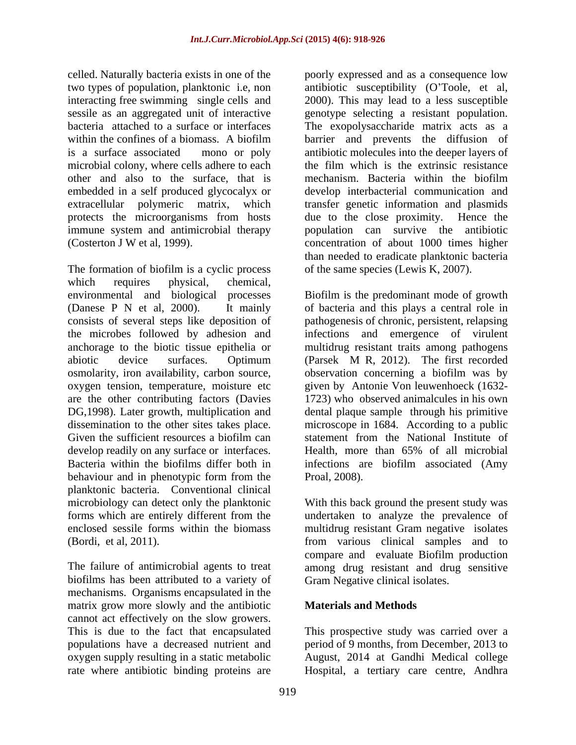celled. Naturally bacteria exists in one of the poorly expressed and as a consequence low two types of population, planktonic i.e, non antibiotic susceptibility (O'Toole, et al, interacting free swimming single cells and sessile as an aggregated unit of interactive genotype selecting a resistant population. bacteria attached to a surface or interfaces The exopolysaccharide matrix acts as a within the confines of a biomass. A biofilm barrier and prevents the diffusion of is a surface associated mono or poly antibiotic molecules into the deeper layers of microbial colony, where cells adhere to each the film which is the extrinsic resistance other and also to the surface, that is mechanism. Bacteria within the biofilm embedded in a self produced glycocalyx or extracellular polymeric matrix, which transfer genetic information and plasmids protects the microorganisms from hosts due to the close proximity. Hence the immune system and antimicrobial therapy population can survive the antibiotic (Costerton J W et al, 1999). concentration of about 1000 times higher

The formation of biofilm is a cyclic process which requires physical, chemical, environmental and biological processes Biofilm is the predominant mode of growth (Danese P N et al, 2000). It mainly of bacteria and this plays a central role in consists of several steps like deposition of pathogenesis of chronic, persistent, relapsing the microbes followed by adhesion and infections and emergence of virulent anchorage to the biotic tissue epithelia or multidrug resistant traits among pathogens abiotic device surfaces. Optimum (Parsek M R, 2012). The first recorded osmolarity, iron availability, carbon source, observation concerning a biofilm was by oxygen tension, temperature, moisture etc are the other contributing factors (Davies DG,1998). Later growth, multiplication and dental plaque sample through his primitive dissemination to the other sites takes place. microscope in 1684. According to a public Given the sufficient resources a biofilm can statement from the National Institute of develop readily on any surface or interfaces. Health, more than 65% of all microbial Bacteria within the biofilms differ both in infections are biofilm associated (Amy behaviour and in phenotypic form from the Proal, 2008). planktonic bacteria. Conventional clinical microbiology can detect only the planktonic With this back ground the present study was forms which are entirely different from the undertaken to analyze the prevalence of enclosed sessile forms within the biomass multidrug resistant Gram negative isolates (Bordi, et al, 2011). from various clinical samples and to

biofilms has been attributed to a variety of mechanisms. Organisms encapsulated in the matrix grow more slowly and the antibiotic cannot act effectively on the slow growers. This is due to the fact that encapsulated This prospective study was carried over a populations have a decreased nutrient and period of 9 months, from December, 2013 to oxygen supply resulting in a static metabolic August, 2014 at Gandhi Medical college rate where antibiotic binding proteins are Hospital, a tertiary care centre, Andhra

2000). This may lead to a less susceptible mechanism. Bacteria within the biofilm develop interbacterial communication and due to the close proximity. than needed to eradicate planktonic bacteria of the same species (Lewis K, 2007).

(Parsek M R, 2012). The first recorded given by Antonie Von leuwenhoeck (1632- 1723) who observed animalcules in his own statement from the National Institute of Health, more than 65% of all microbial Proal, 2008).

The failure of antimicrobial agents to treat among drug resistant and drug sensitive compare and evaluate Biofilm production Gram Negative clinical isolates.

# **Materials and Methods**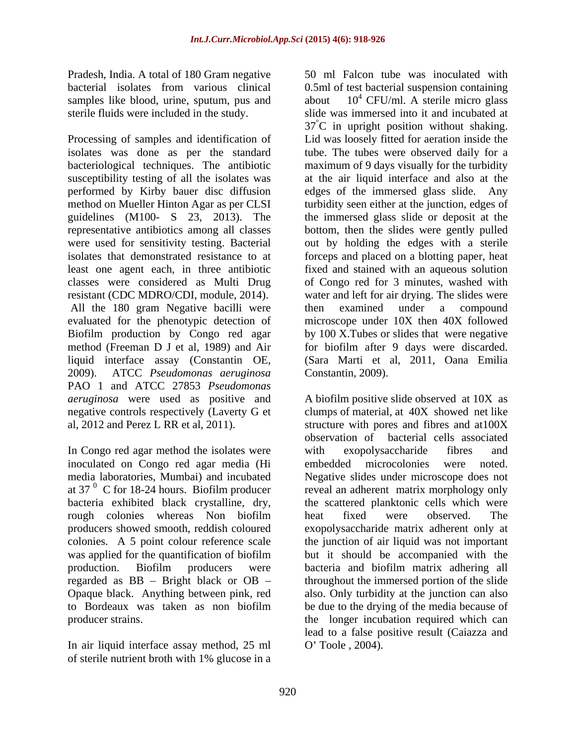Pradesh, India. A total of 180 Gram negative samples like blood, urine, sputum, pus and about

Processing of samples and identification of Lid was loosely fitted for aeration inside the isolates was done as per the standard tube. The tubes were observed daily for a bacteriological techniques. The antibiotic maximum of 9 days visually for the turbidity susceptibility testing of all the isolates was performed by Kirby bauer disc diffusion edges of the immersed glass slide. Any method on Mueller Hinton Agar as per CLSI turbidity seen either at the junction, edges of guidelines (M100- S 23, 2013). The representative antibiotics among all classes bottom, then the slides were gently pulled were used for sensitivity testing. Bacterial out by holding the edges with a sterile isolates that demonstrated resistance to at forceps and placed on a blotting paper, heat least one agent each, in three antibiotic fixed and stained with an aqueous solution classes were considered as Multi Drug of Congo red for 3 minutes, washed with resistant (CDC MDRO/CDI, module, 2014). water and left for air drying. The slides were All the 180 gram Negative bacilli were then examined under a compound evaluated for the phenotypic detection of Biofilm production by Congo red agar by 100 X.Tubes or slides that were negative method (Freeman D J et al, 1989) and Air for biofilm after 9 days were discarded. liquid interface assay (Constantin OE, 2009). ATCC *Pseudomonas aeruginosa* PAO 1 and ATCC 27853 *Pseudomonas aeruginosa* were used as positive and A biofilm positive slide observed at 10X as negative controls respectively (Laverty G et clumps of material, at 40X showed net like al, 2012 and Perez L RR et al, 2011). Structure with pores and fibres and at  $100X$ 

In Congo red agar method the isolates were with exopolysaccharide fibres and inoculated on Congo red agar media (Hi embedded microcolonies were noted.<br>
media laboratories, Mumbai) and incubated Negative slides under microscope does not at 37 $<sup>0</sup>$  C for 18-24 hours. Biofilm producer</sup> bacteria exhibited black crystalline, dry, rough colonies whereas Non biofilm beat fixed were observed. The colonies. A 5 point colour reference scale regarded as  $BB - Bright$  black or  $OB$ to Bordeaux was taken as non biofilm

In air liquid interface assay method, 25 ml  $\qquad$  O'Toole, 2004). of sterile nutrient broth with 1% glucose in a

bacterial isolates from various clinical 0.5ml of test bacterial suspension containing sterile fluids were included in the study. slide was immersed into it and incubated at 50 ml Falcon tube was inoculated with  $10^4$  CFU/ml. A sterile micro glass <sup>4</sup> CFU/ml. A sterile micro glass  $37^{\circ}$ C in upright position without shaking. at the air liquid interface and also at the the immersed glass slide or deposit at the then examined under a compound microscope under 10X then 40X followed (Sara Marti et al, 2011, Oana Emilia Constantin, 2009).

media laboratories, Mumbai) and incubated Negative slides under microscope does not producers showed smooth, reddish coloured exopolysaccharide matrix adherent only at was applied for the quantification of biofilm but it should be accompanied with the production. Biofilm producers were bacteria and biofilm matrix adhering all Opaque black. Anything between pink, red also. Only turbidity at the junction can also producer strains. the longer incubation required which can observation of bacterial cells associated with exopolysaccharide fibres and embedded microcolonies were noted. reveal an adherent matrix morphology only the scattered planktonic cells which were heat fixed were observed. The the junction of air liquid was not important throughout the immersed portion of the slide be due to the drying of the media because of lead to a false positive result (Caiazza and O Toole , 2004).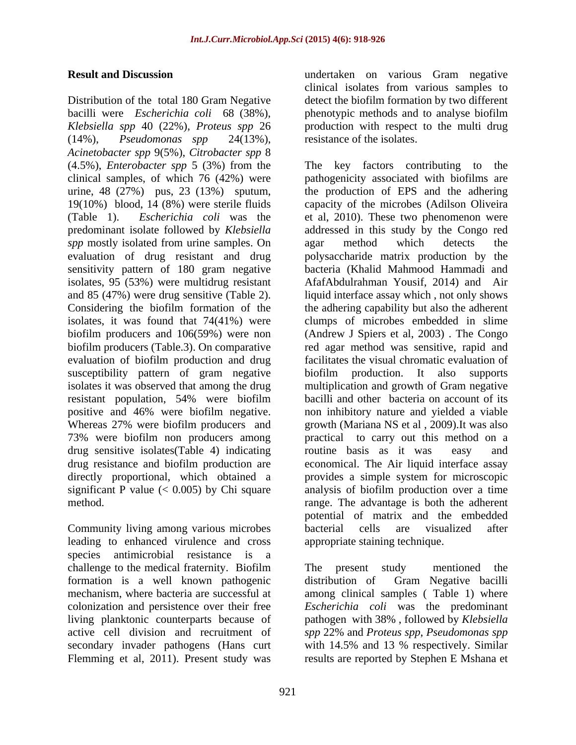Distribution of the total 180 Gram Negative detect the biofilm formation by two different bacilli were *Escherichia coli* 68 (38%), phenotypic methods and to analyse biofilm *Klebsiella spp* 40 (22%), *Proteus spp* 26 production with respect to the multi drug (14%), *Pseudomonas spp* 24(13%), *Acinetobacter spp* 9(5%), *Citrobacter spp* 8 (4.5%), *Enterobacter spp* 5 (3%) from the *spp* mostly isolated from urine samples. On agar method which detects the isolates, 95 (53%) were multidrug resistant Considering the biofilm formation of the evaluation of biofilm production and drug resistant population, 54% were biofilm drug sensitive isolates(Table 4) indicating

Community living among various microbes leading to enhanced virulence and cross species antimicrobial resistance is a challenge to the medical fraternity. Biofilm formation is a well known pathogenic active cell division and recruitment of spp 22% and Proteus spp, Pseudomonas spp secondary invader pathogens (Hans curt with 14.5% and 13 % respectively. Similar Flemming et al, 2011). Present study was

**Result and Discussion**  undertaken on various Gram negative clinical isolates from various samples to resistance of the isolates.

clinical samples, of which 76 (42%) were pathogenicity associated with biofilms are urine, 48 (27%) pus, 23 (13%) sputum, the production of EPS and the adhering 19(10%) blood, 14 (8%) were sterile fluids capacity of the microbes (Adilson Oliveira (Table 1). *Escherichia coli* was the et al, 2010). These two phenomenon were predominant isolate followed by *Klebsiella* addressed in this study by the Congo red evaluation of drug resistant and drug polysaccharide matrix production by the sensitivity pattern of 180 gram negative bacteria (Khalid Mahmood Hammadi and and 85 (47%) were drug sensitive (Table 2). liquid interface assay which , not only shows isolates, it was found that 74(41%) were clumps of microbes embedded in slime biofilm producers and 106(59%) were non (Andrew J Spiers et al, 2003) . The Congo biofilm producers (Table.3). On comparative red agar method was sensitive, rapid and susceptibility pattern of gram negative biofilm production. It also supports isolates it was observed that among the drug multiplication and growth of Gram negative positive and 46% were biofilm negative. non inhibitory nature and yielded a viable Whereas 27% were biofilm producers and growth (Mariana NS et al, 2009). It was also 73% were biofilm non producers among practical to carry out this method on a drug resistance and biofilm production are economical. The Air liquid interface assay directly proportional, which obtained a provides a simple system for microscopic significant P value (< 0.005) by Chi square analysis of biofilm production over a time method. range. The advantage is both the adherent The key factors contributing to agar method which detects the AfafAbdulrahman Yousif, 2014) and Air the adhering capability but also the adherent facilitates the visual chromatic evaluation of bacilli and other bacteria on account of its routine basis as it was easy and potential of matrix and the embedded bacterial cells are visualized after appropriate staining technique.

mechanism, where bacteria are successful at among clinical samples ( Table 1) where colonization and persistence over their free *Escherichia coli* was the predominant living planktonic counterparts because of pathogen with 38% , followed by *Klebsiella* The present study mentioned the distribution of Gram Negative bacilli *spp* 22% and *Proteus spp*, *Pseudomonas spp* with 14.5% and <sup>13</sup> % respectively. Similar results are reported by Stephen E Mshana et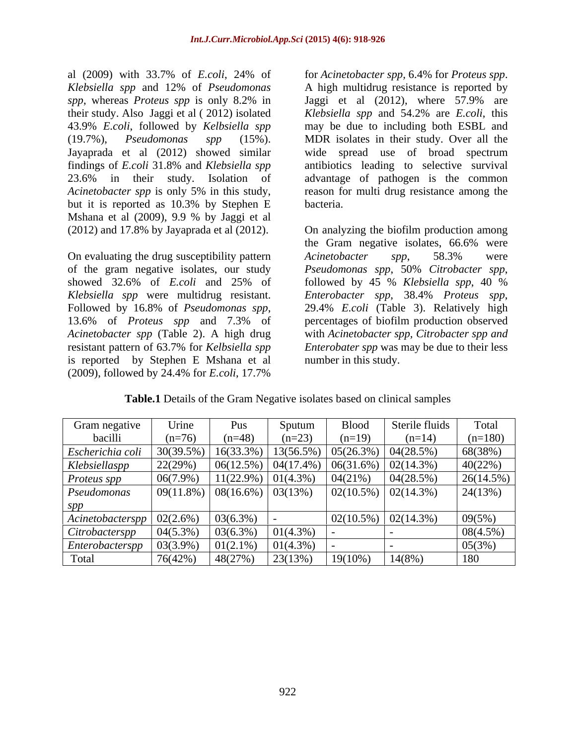al (2009) with 33.7% of *E.coli*, 24% of *Klebsiella spp* and 12% of *Pseudomonas spp*, whereas *Proteus spp* is only 8.2% in Jaggi et al (2012), where 57.9% are their study. Also Jaggi et al ( 2012) isolated *Klebsiella spp* and 54.2% are *E.coli*, this 43.9% *E.coli*, followed by *Kelbsiella spp* may be due to including both ESBL and (19.7%), *Pseudomonas spp* (15%). MDR isolates in their study. Over all the Jayaprada et al (2012) showed similar wide spread use of broad spectrum findings of *E.coli* 31.8% and *Klebsiella spp* antibiotics leading to selective survival 23.6% in their study. Isolation of advantage of pathogen is the common *Acinetobacter spp* is only 5% in this study, reason for multi drug resistance among the but it is reported as 10.3% by Stephen E Mshana et al (2009), 9.9 % by Jaggi et al

On evaluating the drug susceptibility pattern Acinetobacter spp, 58.3% were of the gram negative isolates, our study *Pseudomonas spp*, 50% Citrobacter spp, showed 32.6% of *E.coli* and 25% of followed by 45 % *Klebsiella spp*, 40 % *Klebsiella spp* were multidrug resistant. Followed by 16.8% of *Pseudomonas spp*, is reported by Stephen E Mshana et al (2009), followed by 24.4% for *E.coli*, 17.7%

for *Acinetobacter spp,* 6.4% for *Proteus spp*. A high multidrug resistance is reported by bacteria.

(2012) and 17.8% by Jayaprada et al (2012). On analyzing the biofilm production among 13.6% of *Proteus spp* and 7.3% of percentages of biofilm production observed *Acinetobacter spp* (Table 2). A high drug with *Acinetobacter spp, Citrobacter spp and* resistant pattern of 63.7% for *Kelbsiella spp Enterobater spp* was may be due to their less the Gram negative isolates, 66.6% were *Acinetobacter spp*, 58.3% were *Pseudomonas spp*, 50% *Citrobacter spp*, followed by <sup>45</sup> % *Klebsiella spp*, <sup>40</sup> % *Enterobacter spp*, 38.4% *Proteus spp*, 29.4% *E.coli* (Table 3). Relatively high number in this study.

| Gram negative                   | Urine                                              | Pus                   | Sputum      | <b>Blood</b>                                                                | Sterile fluids | Total     |
|---------------------------------|----------------------------------------------------|-----------------------|-------------|-----------------------------------------------------------------------------|----------------|-----------|
| bacilli                         | $(n=76)$                                           | $(n=48)$              | $(n=23)$    |                                                                             | $(n=14)$       | $(n=180)$ |
| Escherichia coli   $30(39.5\%)$ |                                                    |                       |             | $\left  16(33.3\%) \right  13(56.5\%) \left  05(26.3\%) \right  04(28.5\%)$ |                | 68(38%)   |
| Klebsiellaspp                   | 22(29%)                                            |                       |             | $\vert 06(12.5\%) \vert 04(17.4\%) \vert 06(31.6\%) \vert 02(14.3\%)$       |                | 40(22%)   |
| Proteus spp                     | $06(7.9\%)$                                        | $11(22.9\%)$ 01(4.3%) |             | 04(21%)                                                                     | 04(28.5%)      | 26(14.5%) |
| Pseudomonas                     | $\vert 09(11.8\%) \vert 08(16.6\%) \vert 03(13\%)$ |                       |             | $\vert 02(10.5\%) \vert 02(14.3\%)$                                         |                | 24(13%)   |
| spp                             |                                                    |                       |             |                                                                             |                |           |
| $Acinetobacterspp$ 02(2.6%)     |                                                    | $03(6.3\%)$           |             | 02(10.5%)                                                                   | 02(14.3%       | 09(5%)    |
| $Citrobacterspp$ 04(5.3%)       |                                                    | 03(6.3%)              | 01(4.3%)    |                                                                             |                | 08(4.5%)  |
| $Enterobacterspp$   03(3.9%)    |                                                    | $01(2.1\%)$           | $01(4.3\%)$ |                                                                             |                | 05(3%)    |
| Total                           | 76(42%)                                            | 48(27%)               | 23(13%)     | $19(10\%)$                                                                  | $14(8%)$       | 180       |

**Table.1** Details of the Gram Negative isolates based on clinical samples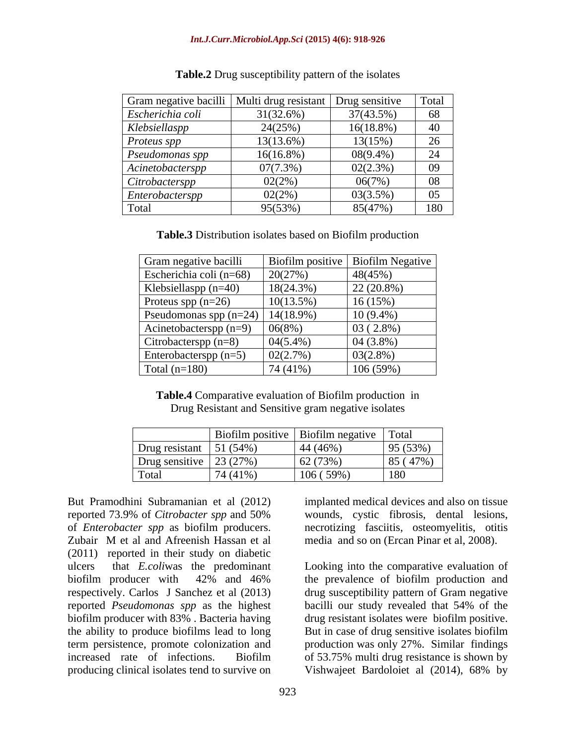| Gram negative bacilli   Multi drug resistant   Drug sensitive |              |              | Total |
|---------------------------------------------------------------|--------------|--------------|-------|
| Escherichia coli                                              | $31(32.6\%)$ | 37(43.5%)    | 68    |
| Klebsiellaspp                                                 | 24(25%)      | $16(18.8\%)$ | 40    |
| Proteus spp                                                   | $13(13.6\%)$ | 13(15%)      | 26    |
| Pseudomonas spp                                               | $16(16.8\%)$ | $08(9.4\%)$  | 24    |
| Acinetobacterspp                                              | 07(7.3%)     | 02(2.3%)     | 09    |
| Citrobacterspp                                                | 02(2%)       | 06(7%)       | 08    |
| Enterobacterspp                                               | 02(2%)       | 03(3.5%)     | 05    |
| Total                                                         | 95(53%)      | 85(47%)      | 180   |

**Table.2** Drug susceptibility pattern of the isolates

**Table.3** Distribution isolates based on Biofilm production

| Gram negative bacilli                |              | Biofilm positive   Biofilm Negative |
|--------------------------------------|--------------|-------------------------------------|
| Escherichia coli (n=68)              | 20(27%)      | 48(45%)                             |
| Klebsiellaspp $(n=40)$               | $18(24.3\%)$ | $22(20.8\%)$                        |
| Proteus spp $(n=26)$                 | 10(13.5%)    | 16(15%)                             |
| Pseudomonas spp (n=24)   $14(18.9%)$ |              | $10(9.4\%)$                         |
| Acinetobacterspp $(n=9)$             | 06(8%)       | $03(2.8\%)$                         |
| $\vert$ Citrobacterspp (n=8)         | $04(5.4\%)$  | $04(3.8\%)$                         |
| Enterobacterspp $(n=5)$              | 02(2.7%)     | $03(2.8\%)$                         |
| Total $(n=180)$                      | 74 (41%)     | 106(59%)                            |

**Table.4** Comparative evaluation of Biofilm production in Drug Resistant and Sensitive gram negative isolates

|                |             | Biofilm positive   Biofilm negative | Total                    |
|----------------|-------------|-------------------------------------|--------------------------|
| Drug resistant | 51 $(54\%)$ | 44 (46%)                            | 95 (53%)                 |
| Drug sensitive | 23(27%)     | 62 (73%)                            | (47%)<br>85 <sub>0</sub> |
| Total          | 74 (41%)    | $(59\%)$<br>106                     | 180                      |

But Pramodhini Subramanian et al (2012) implanted medical devices and also on tissue reported 73.9% of *Citrobacter spp* and 50% wounds, cystic fibrosis, dental lesions, of *Enterobacter spp* as biofilm producers. necrotizing fasciitis, osteomyelitis, otitis Zubair M et al and Afreenish Hassan et al media and so on (Ercan Pinar et al, 2008). (2011) reported in their study on diabetic ulcers that *E.coli*was the predominant Looking into the comparative evaluation of biofilm producer with 42% and 46% the prevalence of biofilm production and respectively. Carlos J Sanchez et al (2013) drug susceptibility pattern of Gram negative reported *Pseudomonas spp* as the highest bacilli our study revealed that 54% of the biofilm producer with 83%. Bacteria having drug resistant isolates were biofilm positive. the ability to produce biofilms lead to long term persistence, promote colonization and production was only 27%. Similar findings increased rate of infections. Biofilm of 53.75% multi drug resistance is shown by

media and so on (Ercan Pinar et al, 2008).

producing clinical isolates tend to survive on Vishwajeet Bardoloiet al (2014), 68% bydrug resistant isolates were biofilm positive. But in case of drug sensitive isolates biofilm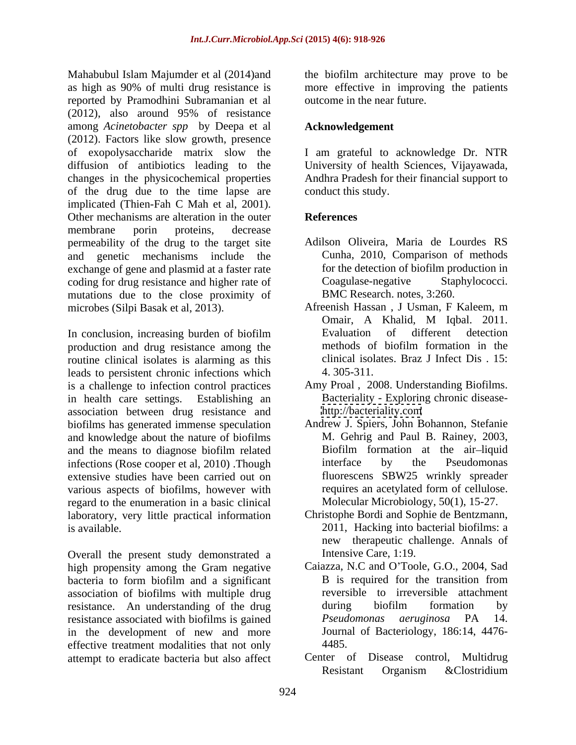Mahabubul Islam Majumder et al (2014)and the biofilm architecture may prove to be as high as 90% of multi drug resistance is reported by Pramodhini Subramanian et al (2012), also around 95% of resistance among *Acinetobacter spp* by Deepa et al (2012). Factors like slow growth, presence of exopolysaccharide matrix slow the I am grateful to acknowledge Dr. NTR diffusion of antibiotics leading to the University of health Sciences, Vijayawada, changes in the physicochemical properties Andhra Pradesh for their financial support to of the drug due to the time lapse are implicated (Thien-Fah C Mah et al, 2001). Other mechanisms are alteration in the outer **References** membrane porin proteins, decrease permeability of the drug to the target site and genetic mechanisms include the exchange of gene and plasmid at a faster rate for the detection of biofilm production in coding for drug resistance and higher rate of Coagulase-negative Staphylococci. coding for drug resistance and higher rate of mutations due to the close proximity of

In conclusion, increasing burden of biofilm<br>
In the methods of biofilm formation in the<br>
Intervention and drug resistance among the methods of biofilm formation in the production and drug resistance among the routine clinical isolates is alarming as this leads to persistent chronic infections which  $4.305-311$ . is a challenge to infection control practices in health care settings. Establishing an Bacteriality - Exploring chronic disease association between drug resistance and biofilms has generated immense speculation Andrew J. Spiers, John Bohannon, Stefanie and knowledge about the nature of biofilms and the means to diagnose biofilm related infections (Rose cooper et al. 2010) .Though interface by the Pseudomonas extensive studies have been carried out on fluorescens SBW25 wrinkly spreader<br>various aspects of biofilms, however with requires an acetylated form of cellulose. various aspects of biofilms, however with regard to the enumeration in a basic clinical laboratory, very little practical information is available. 2011, Hacking into bacterial biofilms: a

Overall the present study demonstrated a high propensity among the Gram negative Caiazza, N.C and O'Toole, G.O., 2004, Sad bacteria to form biofilm and a significant B is required for the transition from bacteria to form biofilm and a significant association of biofilms with multiple drug<br>resistance an understanding of the drug during biofilm formation by resistance. An understanding of the drug resistance associated with biofilms is gained Pseudomonas aeruginosa PA 14. in the development of new and more effective treatment modalities that not only  $4485$ .

more effective in improving the patients outcome in the near future.

# **Acknowledgement**

conduct this study.

# **References**

- Adilson Oliveira, Maria de Lourdes RS Cunha, 2010, Comparison of methods for the detection of biofilm production in Coagulase-negative Staphylococci. BMC Research. notes, 3:260.
- microbes (Silpi Basak et al, 2013). Afreenish Hassan , J Usman, F Kaleem, m Omair, A Khalid, M Iqbal. 2011. Evaluation of different detection methods of biofilm formation in the clinical isolates. Braz J Infect Dis . 15: 4. 305-311.
	- Amy Proal , 2008. Understanding Biofilms. <http://bacteriality.com>
	- M. Gehrig and Paul B. Rainey, 2003, Biofilm formation at the air-liquid interface by the Pseudomonas fluorescens SBW25 wrinkly spreader requires an acetylated form of cellulose. Molecular Microbiology, 50(1), 15-27.
	- Christophe Bordi and Sophie de Bentzmann, new therapeutic challenge. Annals of Intensive Care, 1:19.
	- Caiazza, N.C and O'Toole, G.O., 2004, Sad B is required for the transition from reversible to irreversible attachment during biofilm formation by *Pseudomonas aeruginosa* PA 14. Journal of Bacteriology, 186:14, 4476- 4485.
- attempt to eradicate bacteria but also affect Center of Disease control, Multidrug<br>Resistant Organism & Clostridium Center of Disease control, Resistant Organism &Clostridium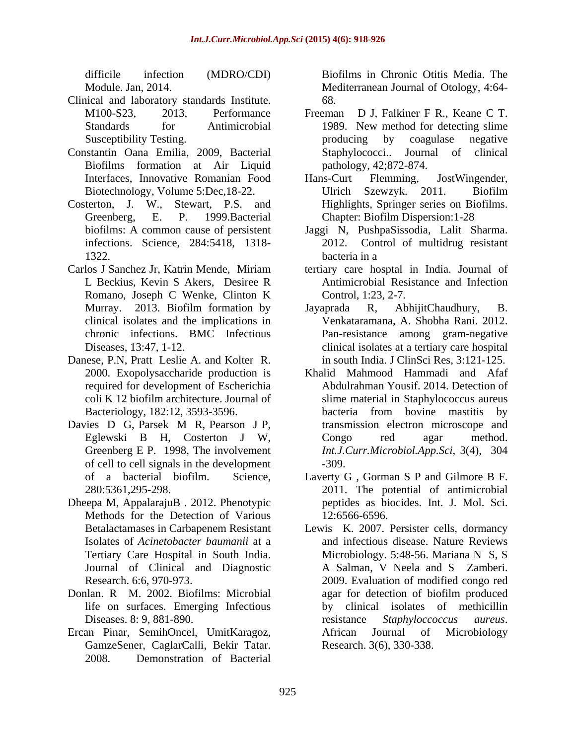- Clinical and laboratory standards Institute.
- Constantin Oana Emilia, 2009, Bacterial Biofilms formation at Air Liquid
- Costerton, J. W., Stewart, P.S. and infections. Science, 284:5418, 1318-
- Romano, Joseph C Wenke, Clinton K clinical isolates and the implications in
- Danese, P.N, Pratt Leslie A. and Kolter R. required for development of Escherichia
- of cell to cell signals in the development
- Dheepa M, AppalarajuB . 2012. Phenotypic Methods for the Detection of Various 12:6566-6596. Isolates of *Acinetobacter baumanii* at a
- life on surfaces. Emerging Infectious
- Ercan Pinar, SemihOncel, UmitKaragoz, GamzeSener, CaglarCalli, Bekir Tatar. 2008. Demonstration of Bacterial

difficile infection (MDRO/CDI) Biofilms in Chronic Otitis Media. The Module. Jan, 2014. Mediterranean Journal of Otology, 4:64- 68.

- M100-S23, 2013, Performance Freeman D J, Falkiner F R., Keane C T. Standards for Antimicrobial 1989. New method for detecting slime Susceptibility Testing. The contract of the producing by coagulase negative Freeman D J, Falkiner F R., Keane C T. 1989. New method for detecting slime producing by coagulase negative Journal of clinical pathology, 42;872-874.
- Interfaces, Innovative Romanian Food Hans-Curt Flemming, JostWingender, Biotechnology, Volume 5:Dec,18-22. Ulrich Szewzyk. 2011. Biofilm Greenberg, E. P. 1999.Bacterial Chapter: Biofilm Dispersion:1-28 Hans-Curt Flemming, JostWingender, Ulrich Szewzyk. 2011. Biofilm Highlights, Springer series on Biofilms.
- biofilms: A common cause of persistent Jaggi N, PushpaSissodia, Lalit Sharma. 1322. bacteria in a Control of multidrug resistant bacteria in a
- Carlos J Sanchez Jr, Katrin Mende, Miriam tertiary care hosptal in India. Journal of L Beckius, Kevin S Akers, Desiree R Antimicrobial Resistance and Infection Control, 1:23, 2-7.
	- Murray. 2013. Biofilm formation by Jayaprada R, AbhijitChaudhury, B. chronic infections. BMC Infectious Pan-resistance among gram-negative Diseases, 13:47, 1-12. clinical isolates at a tertiary care hospital Jayaprada R, AbhijitChaudhury, B. Venkataramana, A. Shobha Rani. 2012. in south India. J ClinSci Res, 3:121-125.
- 2000. Exopolysaccharide production is Khalid Mahmood Hammadi and Afaf coli K 12 biofilm architecture. Journal of slime material in Staphylococcus aureus Bacteriology, 182:12, 3593-3596. bacteria from bovine mastitis by Davies D G, Parsek M R, Pearson J P, transmission electron microscope and Eglewski B H, Costerton J W, Greenberg E P. 1998, The involvement *Int.J.Curr.Microbiol.App.Sci*, 3(4), 304 Abdulrahman Yousif. 2014. Detection of bacteria from bovine mastitis by transmission electron microscope and Congo red agar method. -309.
	- of a bacterial biofilm. Science, Laverty G , Gorman S P and Gilmore B F. 280:5361,295-298. 2011. The potential of antimicrobial peptides as biocides. Int. J. Mol. Sci. 12:6566-6596.
- Betalactamases in Carbapenem Resistant Lewis K. 2007. Persister cells, dormancy Tertiary Care Hospital in South India. Microbiology. 5:48-56. Mariana N S, S Journal of Clinical and Diagnostic A Salman, V Neela and S Zamberi. Research. 6:6, 970-973. 2009. Evaluation of modified congo red Donlan. R M. 2002. Biofilms: Microbial agar for detection of biofilm produced Diseases. 8: 9, 881-890. The example of the existence *Staphyloccoccus aureus*. and infectious disease. Nature Reviews by clinical isolates of methicillin resistance *Staphyloccoccus aureus*. African Journal of Microbiology Research. 3(6), 330-338.